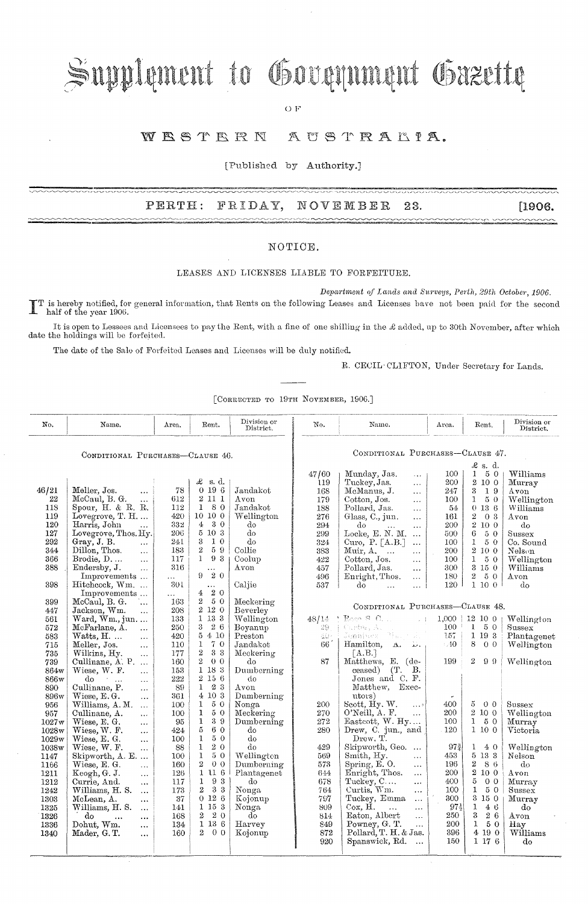# Supplement to Government Gazette

OF

#### WESTERN AUSTRALIA.

[Published by Authority.]

### PERTH: FRIDAY, NOVEMBER 23. [1906.

#### NOTIOE.

#### LEASES AND LICENSES LIABLE TO FORFEITURE.

*Department of Lands and Surveys, Perth, 29th October, 1906.* IT is hereby notified, for general information, that Rents on the following Leases and Licenses have not been paid for the second half of the year 1906.

It is open to Lessees and Licensees to pay the Rent, with a fine of one shilling in the £ added, up to 30th November, after which date the holdings will be forfeited.

The date of the Sale of Forfeited Leases and Licenses will be duly notified.

R. CECIL· CLIFTON, Under Secretary for Lands.

[CORRECTED TO 19TH NOVEMBER, 1906.]

| No.                              | Name.                                                            | Area.      | Rent.                                 | Division or<br>District. | No.                              | Name.                                                          | Area.            | Rent.                             | Division or<br>District. |
|----------------------------------|------------------------------------------------------------------|------------|---------------------------------------|--------------------------|----------------------------------|----------------------------------------------------------------|------------------|-----------------------------------|--------------------------|
| CONDITIONAL PURCHASES-CLAUSE 46. |                                                                  |            |                                       |                          | CONDITIONAL PURCHASES-CLAUSE 47. |                                                                |                  |                                   |                          |
|                                  |                                                                  |            |                                       |                          | $\pounds$ s. d.                  |                                                                |                  |                                   |                          |
|                                  |                                                                  |            | £<br>s. d.                            |                          | 47/60<br>119                     | Munday, Jas.<br>$\cdots$<br>Tuckey, Jas.<br>$\cdots$           | 100<br>200       | $\mathbf{1}$<br>50<br>2 10 0      | Williams<br>Murray       |
| 46/21                            | Meller, Jos.<br>$\cdots$                                         | 78         | 0196                                  | Jandakot                 | 168                              | McManus, J.<br>$\ddotsc$                                       | 247              | 19<br>3.                          | Avon                     |
| 22                               | McCaul, B. G.<br>$\ddotsc$                                       | 612        | 2 11 1                                | Avon                     | 179                              | Cotton, Jos.<br>$\ddotsc$                                      | 100              | $5\,$ $0\,$<br>$\mathbf{1}$       | Wellington               |
| 118                              | Spour, H. & R. R.                                                | 112        | 80<br>$\mathbf{1}$                    | Jandakot                 | 188                              | Pollard, Jas.<br>$\cdots$                                      | 54               | 0136                              | Williams                 |
| 119                              | Lovegrove, $T. H. \ldots$                                        | 420        | 10 10 0                               | Wellington               | 276                              | Glass, C., jun.<br>$\ddotsc$                                   | 161              | $\overline{2}$<br>0 3             | Avon                     |
| 120                              | Harris, John<br>$\ddotsc$                                        | 332        | 4 <sub>1</sub><br>3 0                 | do                       | 294                              | $d\sigma$<br>$\mathbf{L}$<br>$\ddotsc$                         | 200              | 2 10 0                            | $d\sigma$                |
| 127<br>292                       | Lovegrove, Thos. Hy.                                             | 206        | 5 10 3<br>3<br>$1\,0$                 | do<br>do                 | 299                              | Locke, E. N. M.<br>$\ddots$                                    | 500              | 6<br>50                           | Sussex                   |
| 344                              | Gray, J. B.<br>$\cdots$<br>Dillon, Thos.<br>$\ddot{\phantom{a}}$ | 241<br>183 | $\overline{2}$<br>59                  | Collie                   | 324<br>383                       | Curo, P. [A.B.]<br>$\ddotsc$<br>Muir, $A, \ldots$<br>$\ddotsc$ | 100<br>200       | $\mathbf{1}$<br>50<br>2 10 0      | Co. Sound<br>Nelson      |
| 366                              | Brodie, $D$<br>$\cdots$                                          | 117        | 1<br>93                               | Coolup                   | 422                              | Cotton, Jos.<br>$\cdots$                                       | 100              | $\mathbf{1}$<br>50                | Wellington               |
| 388                              | Endersby, J.<br>$\ldots$                                         | 316        | $\cdots$                              | Avon                     | 457                              | Pollard, Jas.<br>$\cdots$                                      | 300              | 3150                              | Williams                 |
|                                  | Improvements                                                     | .          | 9<br>20                               |                          | 496                              | Enright, Thos.<br>$\ldots$                                     | 180              | $\boldsymbol{2}$<br>50            | Avon                     |
| 398                              | Hitchcock, Wm.                                                   | <b>301</b> | $\cdots$                              | Caljie                   | 537                              | do<br>$\ddotsc$<br>$\cdots$                                    | 120              | 1100                              | do                       |
|                                  | Improvements                                                     | $\cdots$   | 20<br>$\overline{4}$                  |                          |                                  |                                                                |                  |                                   |                          |
| 399                              | McCaul, B. G.<br>1.                                              | 163        | $\overline{2}$<br>50                  | Meckering                | CONDITIONAL PURCHASES-CLAUSE 48. |                                                                |                  |                                   |                          |
| 447                              | Jackson, Wm.<br>$\ddotsc$                                        | 208        | $2\,$ 12 $\,$ 0 $\,$<br>$1\,13\,3$    | Beverley                 |                                  | $B$ ceo $B$ $C$ , $C$                                          |                  |                                   |                          |
| 561<br>572                       | Ward, $Wm$ ., jun<br>McFarlane, A.<br>$\dddotsc$                 | 133<br>250 | 3<br>26                               | Wellington<br>Boyanup    | 48/14<br>29.                     | $\sim$ 1<br>Custes A.                                          | $1,000$  <br>100 | $12\ 10\ 0$<br>$\mathbf{1}$<br>50 | Wellington<br>Sussex     |
| 583                              | $Watts, H. \dots$<br>$\ddotsc$                                   | 420        | 5410                                  | Preston                  | 40.                              | Jennises<br>-79, produ                                         | 157              | 1 19 3                            | Plantagenet              |
| 715                              | Meller, Jos.<br>$\cdots$                                         | 110        | 1<br>70                               | Jandakot                 | 66                               | Hamilton,<br>A.<br>بالقار                                      | $-40$            | 8<br>0 <sub>0</sub>               | Wellington               |
| 735                              | Wilkins, Hy.<br>$\ddotsc$                                        | 177        | $\,2$<br>33                           | Meckering                |                                  | $\lceil$ A.B.                                                  |                  |                                   |                          |
| 739                              | Cullinane, A. P.                                                 | 160        | $\overline{2}$<br>0 <sub>0</sub>      | do                       | 87                               | Matthews, E. (de-                                              | 199              | $\mathbf{2}$<br>99                | Wellington               |
| 864w                             | Wiese, W. F.<br>$\mathbf{1}$                                     | 153        | $1\,$ 18 $\,3$                        | Dumberning               |                                  | (T.<br>В.<br>ceased)                                           |                  |                                   |                          |
| 866w                             | do<br>$\dddotsc$<br>$\ddotsc$                                    | 222        | 2 15 6                                | do                       |                                  | Jones and C. F.                                                |                  |                                   |                          |
| 890                              | Cullinane, P.<br>$\cdots$                                        | 89         | $\mathbf{1}$<br>23<br>4 10 3          | Avon                     |                                  | Matthew, Exec-                                                 |                  |                                   |                          |
| 896w                             | Wiese, E.G.<br>$\ddotsc$                                         | 361<br>100 | 1<br>50                               | Dumberning<br>Nonga      | 200                              | utors)<br>Scott, Hy. W.<br>$\ldots$ $\circ$                    | 400              | 5<br>0 <sub>0</sub>               | Sussex                   |
| 956<br>957                       | Williams, A. M.<br>$\ddotsc$<br>Cullinane, A.<br>$\ddotsc$       | 100        | $\mathbf{1}$<br>50                    | Meckering                | 270                              | $O'$ Neill, A. F.<br>$\cdots$                                  | 200              | $2\,$ 10 $\,$ 0 $\,$              | Wellington               |
| 1027 <sub>W</sub>                | Wiese, E. G.<br>$\ddotsc$                                        | 95         | 1<br>39                               | Dumberning               | 272                              | Easteott, $W. Hy$                                              | 100              | 1<br>50                           | Murray                   |
| 1028w                            | Wiese, W. F.<br>$\cdots$                                         | 424        | $\bf 5$<br>60                         | do                       | 280                              | Drew, C. jun., and                                             | 120              | 1100                              | Victoria                 |
| 1029w                            | Wiese, E. G.<br>$\ddotsc$                                        | 100        | 50<br>1                               | do                       |                                  | Drew, T.                                                       |                  |                                   |                          |
| 1038w                            | Wiese, W. F.<br>$\ddotsc$                                        | 88         | 20<br>1                               | do                       | 429                              | Skipworth, Geo.                                                | $97_{2}^{3}$     | 1<br>40                           | Wellington               |
| 1147                             | Skipworth, A. E                                                  | 100        | 50<br>1                               | Wellington               | 569                              | Smith, Hy.<br>$\cdots$                                         | 453              | 5 13 3                            | Nelson                   |
| 1166                             | Wiese, E. G.<br>$\cdots$                                         | 160        | $\mathbf 2$<br>0 <sub>0</sub><br>1116 | Dumberning               | 573                              | Spring, E.O.<br>$\cdots$                                       | 196              | $\overline{2}$<br>8 6<br>2 10 0   | do                       |
| 1211<br>1212                     | Keogh, G. J.<br>$\ddotsc$<br>Currie, And.                        | 126<br>117 | 93<br>$\mathbf{1}$                    | Plantagenet<br>do        | 644<br>678                       | Enright, Thos.<br>$\ldots$<br>Tuckey, C                        | 200<br>400       | 5<br>0 <sub>0</sub>               | Avon<br>Murray           |
| 1242                             | $\ddotsc$<br>Williams, H. S.<br>$\ldots$                         | 173        | $\overline{2}$<br>33                  | Nonga                    | 764                              | $\cdots$<br>$Curt$ is, $Wm$ .<br>$\cdots$                      | 100              | $\mathbf{1}$<br>50                | Sussex                   |
| 1303                             | McLean, A.<br>$\ddotsc$                                          | 37         | 0126                                  | Kojonup                  | 797                              | Tuckey, Emma<br>$\ddotsc$                                      | 300              | $3\,$ 15 $\,$ 0 $\,$              | Murray                   |
| 1325                             | Williams, H. S.<br>$\cdots$                                      | 141        | 1 15 3                                | Nonga                    | 809                              | $Cox$ , $H$ .<br>$\cdots$<br>$\cdots$                          | $97\frac{1}{2}$  | 1<br>46                           | do                       |
| 1326                             | do<br>$\cdots$<br>$\cdots$                                       | 168        | 20<br>$\overline{2}$                  | $d\sigma$                | 814                              | Eaton, Albert<br>$\ddotsc$                                     | 250              | 3<br>26                           | $_{\rm Avon}$            |
| 1336                             | Dohut, Wm.<br>$\cdots$                                           | 134        | 1136                                  | Harvey                   | 849                              | Powney, G. T.<br>$\cdots$                                      | 200              | $\mathbf{1}$<br>5 0               | Hay                      |
| 1340                             | Mader, G.T.<br>$\cdots$                                          | 160        | 0 <sub>0</sub><br>$\overline{2}$      | Kojonup                  | 872                              | Pollard, T. H. & Jas.                                          | 396              | 4 19 0                            | Williams                 |
|                                  |                                                                  |            |                                       |                          | 920                              | Spanswick, Rd.<br>$\ddotsc$                                    | 150              | 1176                              | do                       |
|                                  |                                                                  |            |                                       |                          |                                  |                                                                |                  |                                   |                          |